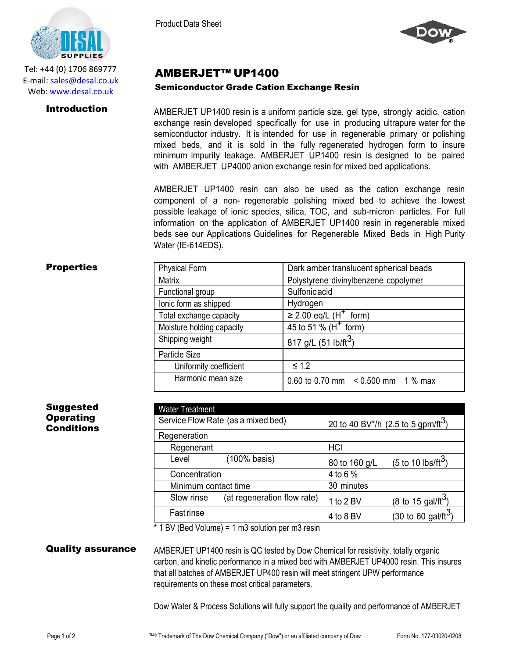

Tel: +44 (0) 1706 869777 E‐mail: sales@desal.co.uk Web: www.desal.co.uk

Product Data Sheet



# AMBERJET™ UP1400

### Semiconductor Grade Cation Exchange Resin

**Introduction** AMBERJET UP1400 resin is a uniform particle size, gel type, strongly acidic, cation exchange resin developed specifically for use in producing ultrapure water for the semiconductor industry. It is intended for use in regenerable primary or polishing mixed beds, and it is sold in the fully regenerated hydrogen form to insure minimum impurity leakage. AMBERJET UP1400 resin is designed to be paired with AMBERJET UP4000 anion exchange resin for mixed bed applications.

> AMBERJET UP1400 resin can also be used as the cation exchange resin component of a non- regenerable polishing mixed bed to achieve the lowest possible leakage of ionic species, silica, TOC, and sub-micron particles. For full information on the application of AMBERJET UP1400 resin in regenerable mixed beds see our Applications Guidelines for Regenerable Mixed Beds in High Purity Water (IE-614EDS).

## **Properties**

| <b>Physical Form</b>      | Dark amber translucent spherical beads  |
|---------------------------|-----------------------------------------|
| <b>Matrix</b>             | Polystyrene divinylbenzene copolymer    |
| Functional group          | Sulfonicacid                            |
| lonic form as shipped     | Hydrogen                                |
| Total exchange capacity   | $\geq$ 2.00 eq/L (H <sup>+</sup> form)  |
| Moisture holding capacity | 45 to 51 % ( $H^+$ form)                |
| Shipping weight           | 817 g/L (51 lb/ft <sup>3</sup> )        |
| Particle Size             |                                         |
| Uniformity coefficient    | $\leq 1.2$                              |
| Harmonic mean size        | 0.60 to 0.70 mm $\leq$ 0.500 mm 1 % max |

Suggested **Operating Conditions** 

| <b>Water Treatment</b> |                                    |                                                |                                       |
|------------------------|------------------------------------|------------------------------------------------|---------------------------------------|
|                        | Service Flow Rate (as a mixed bed) | 20 to 40 BV*/h (2.5 to 5 gpm/ft <sup>3</sup> ) |                                       |
| Regeneration           |                                    |                                                |                                       |
| Regenerant             |                                    | <b>HCI</b>                                     |                                       |
| Level                  | (100% basis)                       | 80 to 160 g/L                                  | (5 to 10 lbs/ft <sup>3</sup> )        |
| Concentration          |                                    | 4 to 6 %                                       |                                       |
| Minimum contact time   |                                    | 30 minutes                                     |                                       |
| Slow rinse             | (at regeneration flow rate)        | 1 to 2 BV                                      | $(8 \text{ to } 15 \text{ gal/ft}^3)$ |
| <b>Fast rinse</b>      |                                    | 4 to 8 BV                                      | (30 to 60 gal/ft $^3$                 |
|                        |                                    |                                                |                                       |

\* 1 BV (Bed Volume) = 1 m3 solution per m3 resin

**Quality assurance** AMBERJET UP1400 resin is QC tested by Dow Chemical for resistivity, totally organic carbon, and kinetic performance in a mixed bed with AMBERJET UP4000 resin. This insures that all batches of AMBERJET UP400 resin will meet stringent UPW performance requirements on these most critical parameters.

Dow Water & Process Solutions will fully support the quality and performance of AMBERJET